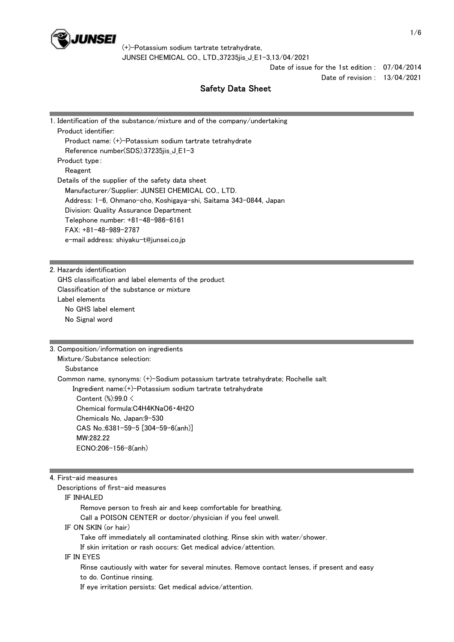

> Date of issue for the 1st edition : 07/04/2014 Date of revision : 13/04/2021

Safety Data Sheet

| 1. Identification of the substance/mixture and of the company/undertaking |
|---------------------------------------------------------------------------|
| Product identifier:                                                       |
| Product name: (+)-Potassium sodium tartrate tetrahydrate                  |
| Reference number(SDS):37235jis_J_E1-3                                     |
| Product type:                                                             |
| Reagent                                                                   |
| Details of the supplier of the safety data sheet                          |
| Manufacturer/Supplier: JUNSEI CHEMICAL CO., LTD.                          |
| Address: 1-6, Ohmano-cho, Koshigaya-shi, Saitama 343-0844, Japan          |
| Division: Quality Assurance Department                                    |
| Telephone number: +81-48-986-6161                                         |
| $FAX: +81-48-989-2787$                                                    |
| e-mail address: shiyaku-t@junsei.co.jp                                    |
|                                                                           |
|                                                                           |
| 2. Hazards identification                                                 |

 GHS classification and label elements of the product Classification of the substance or mixture Label elements No GHS label element No Signal word

3. Composition/information on ingredients

# Mixture/Substance selection:

Substance

Common name, synonyms: (+)-Sodium potassium tartrate tetrahydrate; Rochelle salt

Ingredient name:(+)-Potassium sodium tartrate tetrahydrate

 Content (%):99.0 < Chemical formula:C4H4KNaO6・4H2O Chemicals No, Japan:9-530 CAS No.:6381-59-5 [304-59-6(anh)] MW:282.22 ECNO:206-156-8(anh)

### 4. First-aid measures

Descriptions of first-aid measures

### IF INHALED

 Remove person to fresh air and keep comfortable for breathing. Call a POISON CENTER or doctor/physician if you feel unwell. IF ON SKIN (or hair) Take off immediately all contaminated clothing. Rinse skin with water/shower. If skin irritation or rash occurs: Get medical advice/attention. IF IN EYES

 Rinse cautiously with water for several minutes. Remove contact lenses, if present and easy to do. Continue rinsing.

If eye irritation persists: Get medical advice/attention.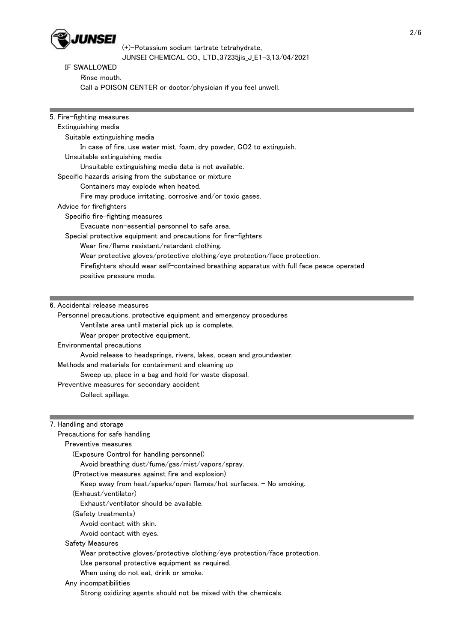

# IF SWALLOWED

 Rinse mouth. Call a POISON CENTER or doctor/physician if you feel unwell.

| 5. Fire-fighting measures                                                                 |  |
|-------------------------------------------------------------------------------------------|--|
| Extinguishing media                                                                       |  |
| Suitable extinguishing media                                                              |  |
| In case of fire, use water mist, foam, dry powder, CO2 to extinguish.                     |  |
| Unsuitable extinguishing media                                                            |  |
| Unsuitable extinguishing media data is not available.                                     |  |
| Specific hazards arising from the substance or mixture                                    |  |
| Containers may explode when heated.                                                       |  |
| Fire may produce irritating, corrosive and/or toxic gases.                                |  |
| Advice for firefighters                                                                   |  |
| Specific fire-fighting measures                                                           |  |
| Evacuate non-essential personnel to safe area.                                            |  |
| Special protective equipment and precautions for fire-fighters                            |  |
| Wear fire/flame resistant/retardant clothing.                                             |  |
| Wear protective gloves/protective clothing/eye protection/face protection.                |  |
| Firefighters should wear self-contained breathing apparatus with full face peace operated |  |
| positive pressure mode.                                                                   |  |
|                                                                                           |  |
|                                                                                           |  |
| 6. Accidental release measures                                                            |  |
| Personnel precautions, protective equipment and emergency procedures                      |  |
| Ventilate area until material pick up is complete.                                        |  |
| Wear proper protective equipment.                                                         |  |
| Environmental precautions                                                                 |  |
| Avoid release to headsprings, rivers, lakes, ocean and groundwater.                       |  |
| Methods and materials for containment and cleaning up                                     |  |
| Sweep up, place in a bag and hold for waste disposal.                                     |  |
| Preventive measures for secondary accident                                                |  |
| Collect spillage.                                                                         |  |
|                                                                                           |  |
|                                                                                           |  |
| 7. Handling and storage                                                                   |  |
| Precautions for safe handling                                                             |  |
| Preventive measures                                                                       |  |
| (Exposure Control for handling personnel)                                                 |  |
| Avoid breathing dust/fume/gas/mist/vapors/spray.                                          |  |
| (Protective measures against fire and explosion)                                          |  |
| Keep away from heat/sparks/open flames/hot surfaces. - No smoking.                        |  |
| (Exhaust/ventilator)                                                                      |  |
| Exhaust/ventilator should be available.                                                   |  |
| (Safety treatments)                                                                       |  |
| Avoid contact with skin.                                                                  |  |
| Avoid contact with eyes.                                                                  |  |
| <b>Safety Measures</b>                                                                    |  |
| Wear protective gloves/protective clothing/eye protection/face protection.                |  |
| Use personal protective equipment as required.                                            |  |
| When using do not eat, drink or smoke.                                                    |  |
| Any incompatibilities                                                                     |  |
| Strong oxidizing agents should not be mixed with the chemicals.                           |  |
|                                                                                           |  |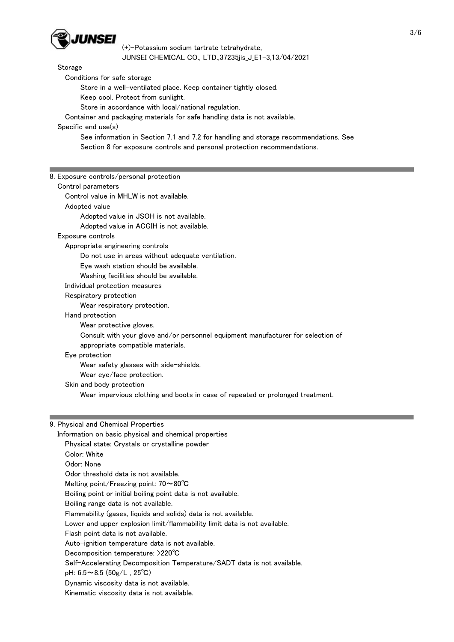

#### Storage

Conditions for safe storage

Store in a well-ventilated place. Keep container tightly closed.

Keep cool. Protect from sunlight.

Store in accordance with local/national regulation.

Container and packaging materials for safe handling data is not available.

# Specific end use(s)

 See information in Section 7.1 and 7.2 for handling and storage recommendations. See Section 8 for exposure controls and personal protection recommendations.

### 8. Exposure controls/personal protection

| Control parameters                                                               |
|----------------------------------------------------------------------------------|
| Control value in MHLW is not available.                                          |
| Adopted value                                                                    |
| Adopted value in JSOH is not available.                                          |
| Adopted value in ACGIH is not available.                                         |
| Exposure controls                                                                |
| Appropriate engineering controls                                                 |
| Do not use in areas without adequate ventilation.                                |
| Eye wash station should be available.                                            |
| Washing facilities should be available.                                          |
| Individual protection measures                                                   |
| Respiratory protection                                                           |
| Wear respiratory protection.                                                     |
| Hand protection                                                                  |
| Wear protective gloves.                                                          |
| Consult with your glove and/or personnel equipment manufacturer for selection of |
| appropriate compatible materials.                                                |
| Eye protection                                                                   |
| Wear safety glasses with side-shields.                                           |
| Wear eye/face protection.                                                        |
| Skin and body protection                                                         |
| Wear impervious clothing and boots in case of repeated or prolonged treatment.   |
|                                                                                  |
|                                                                                  |
| 9 Physical and Chamical Properties                                               |

# 9. Physical and Chemical Properties

| Information on basic physical and chemical properties                            |
|----------------------------------------------------------------------------------|
| Physical state: Crystals or crystalline powder                                   |
| Color: White                                                                     |
| Odor: None                                                                       |
| Odor threshold data is not available.                                            |
| Melting point/Freezing point: $70 \sim 80^{\circ}$ C                             |
| Boiling point or initial boiling point data is not available.                    |
| Boiling range data is not available.                                             |
| Flammability (gases, liquids and solids) data is not available.                  |
| Lower and upper explosion limit/flammability limit data is not available.        |
| Flash point data is not available.                                               |
| Auto-ignition temperature data is not available.                                 |
| Decomposition temperature: $>220^{\circ}$ C                                      |
| Self-Accelerating Decomposition Temperature/SADT data is not available.          |
| pH: $6.5 \sim 8.5$ ( $50$ g/L, 25°C)                                             |
| Dynamic viscosity data is not available.                                         |
| ▐ <mark></mark> ▛▘▖▖▗▖▖▖▌▘▖▏▏▝▏▖▏▏▖▗▝▋▖▖▕▊▖▋▗▕▝▗▏▏▖▏▚▏▊▏▏▏▏▏ <sup>▊</sup> ▏▏▊▖▊▖ |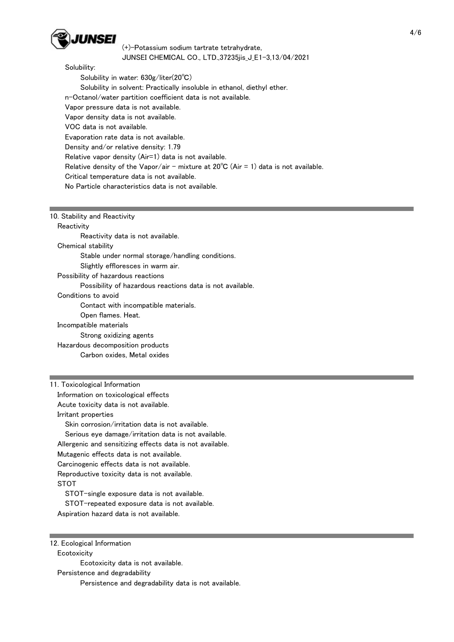

### Solubility:

 Solubility in water: 630g/liter(20℃) Solubility in solvent: Practically insoluble in ethanol, diethyl ether. n-Octanol/water partition coefficient data is not available. Vapor pressure data is not available. Vapor density data is not available. VOC data is not available. Evaporation rate data is not available. Density and/or relative density: 1.79 Relative vapor density (Air=1) data is not available. Relative density of the Vapor/air - mixture at  $20^{\circ}C$  (Air = 1) data is not available. Critical temperature data is not available. No Particle characteristics data is not available.

### 10. Stability and Reactivity

#### **Reactivity**

Reactivity data is not available.

Chemical stability

Stable under normal storage/handling conditions.

Slightly effloresces in warm air.

Possibility of hazardous reactions

Possibility of hazardous reactions data is not available.

Conditions to avoid

Contact with incompatible materials.

Open flames. Heat.

Incompatible materials

Strong oxidizing agents

 Hazardous decomposition products Carbon oxides, Metal oxides

11. Toxicological Information

Information on toxicological effects

Acute toxicity data is not available.

Irritant properties

Skin corrosion/irritation data is not available.

Serious eye damage/irritation data is not available.

Allergenic and sensitizing effects data is not available.

Mutagenic effects data is not available.

Carcinogenic effects data is not available.

Reproductive toxicity data is not available.

STOT

STOT-single exposure data is not available.

STOT-repeated exposure data is not available.

Aspiration hazard data is not available.

12. Ecological Information

**Ecotoxicity** 

Ecotoxicity data is not available.

Persistence and degradability

Persistence and degradability data is not available.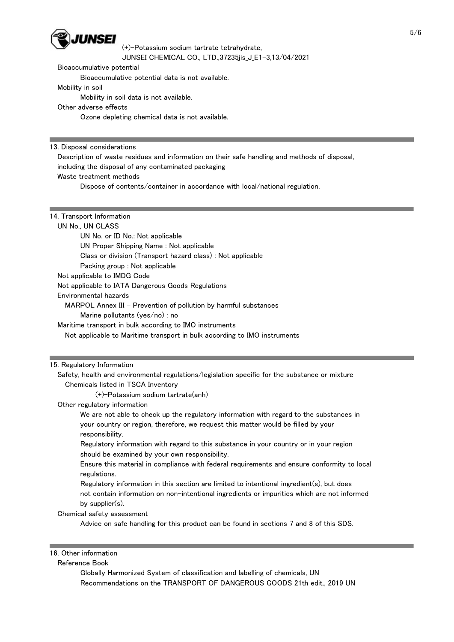

Bioaccumulative potential

Bioaccumulative potential data is not available.

Mobility in soil

Mobility in soil data is not available.

## Other adverse effects

Ozone depleting chemical data is not available.

### 13. Disposal considerations

Description of waste residues and information on their safe handling and methods of disposal,

including the disposal of any contaminated packaging

## Waste treatment methods

Dispose of contents/container in accordance with local/national regulation.

## 14. Transport Information

# UN No., UN CLASS

 UN No. or ID No.: Not applicable UN Proper Shipping Name : Not applicable Class or division (Transport hazard class) : Not applicable Packing group : Not applicable Not applicable to IMDG Code Not applicable to IATA Dangerous Goods Regulations

Environmental hazards

MARPOL Annex III - Prevention of pollution by harmful substances

Marine pollutants (yes/no) : no

Maritime transport in bulk according to IMO instruments

Not applicable to Maritime transport in bulk according to IMO instruments

## 15. Regulatory Information

 Safety, health and environmental regulations/legislation specific for the substance or mixture Chemicals listed in TSCA Inventory

(+)-Potassium sodium tartrate(anh)

## Other regulatory information

 We are not able to check up the regulatory information with regard to the substances in your country or region, therefore, we request this matter would be filled by your responsibility.

 Regulatory information with regard to this substance in your country or in your region should be examined by your own responsibility.

 Ensure this material in compliance with federal requirements and ensure conformity to local regulations.

 Regulatory information in this section are limited to intentional ingredient(s), but does not contain information on non-intentional ingredients or impurities which are not informed by supplier(s).

Chemical safety assessment

Advice on safe handling for this product can be found in sections 7 and 8 of this SDS.

### 16. Other information

Reference Book

 Globally Harmonized System of classification and labelling of chemicals, UN Recommendations on the TRANSPORT OF DANGEROUS GOODS 21th edit., 2019 UN